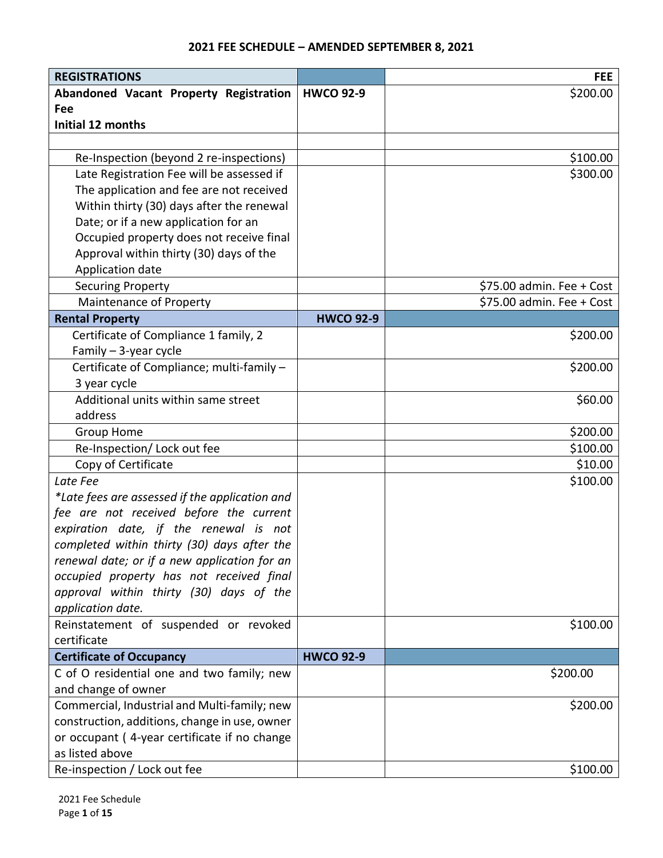## **2021 FEE SCHEDULE – AMENDED SEPTEMBER 8, 2021**

| <b>REGISTRATIONS</b>                           |                  | <b>FEE</b>                |
|------------------------------------------------|------------------|---------------------------|
| Abandoned Vacant Property Registration         | <b>HWCO 92-9</b> | \$200.00                  |
| Fee                                            |                  |                           |
| <b>Initial 12 months</b>                       |                  |                           |
|                                                |                  |                           |
| Re-Inspection (beyond 2 re-inspections)        |                  | \$100.00                  |
| Late Registration Fee will be assessed if      |                  | \$300.00                  |
| The application and fee are not received       |                  |                           |
| Within thirty (30) days after the renewal      |                  |                           |
| Date; or if a new application for an           |                  |                           |
| Occupied property does not receive final       |                  |                           |
| Approval within thirty (30) days of the        |                  |                           |
| Application date                               |                  |                           |
| <b>Securing Property</b>                       |                  | \$75.00 admin. Fee + Cost |
| Maintenance of Property                        |                  | \$75.00 admin. Fee + Cost |
| <b>Rental Property</b>                         | <b>HWCO 92-9</b> |                           |
| Certificate of Compliance 1 family, 2          |                  | \$200.00                  |
| Family - 3-year cycle                          |                  |                           |
| Certificate of Compliance; multi-family -      |                  | \$200.00                  |
| 3 year cycle                                   |                  |                           |
| Additional units within same street            |                  | \$60.00                   |
| address                                        |                  |                           |
| Group Home                                     |                  | \$200.00                  |
| Re-Inspection/ Lock out fee                    |                  | \$100.00                  |
| Copy of Certificate                            |                  | \$10.00                   |
| Late Fee                                       |                  | \$100.00                  |
| *Late fees are assessed if the application and |                  |                           |
| fee are not received before the current        |                  |                           |
| expiration date, if the renewal is not         |                  |                           |
| completed within thirty (30) days after the    |                  |                           |
| renewal date; or if a new application for an   |                  |                           |
| occupied property has not received final       |                  |                           |
| approval within thirty (30) days of the        |                  |                           |
| application date.                              |                  |                           |
| Reinstatement of suspended or revoked          |                  | \$100.00                  |
| certificate                                    |                  |                           |
| <b>Certificate of Occupancy</b>                | <b>HWCO 92-9</b> |                           |
| C of O residential one and two family; new     |                  | \$200.00                  |
| and change of owner                            |                  |                           |
| Commercial, Industrial and Multi-family; new   |                  | \$200.00                  |
| construction, additions, change in use, owner  |                  |                           |
| or occupant (4-year certificate if no change   |                  |                           |
| as listed above                                |                  |                           |
| Re-inspection / Lock out fee                   |                  | \$100.00                  |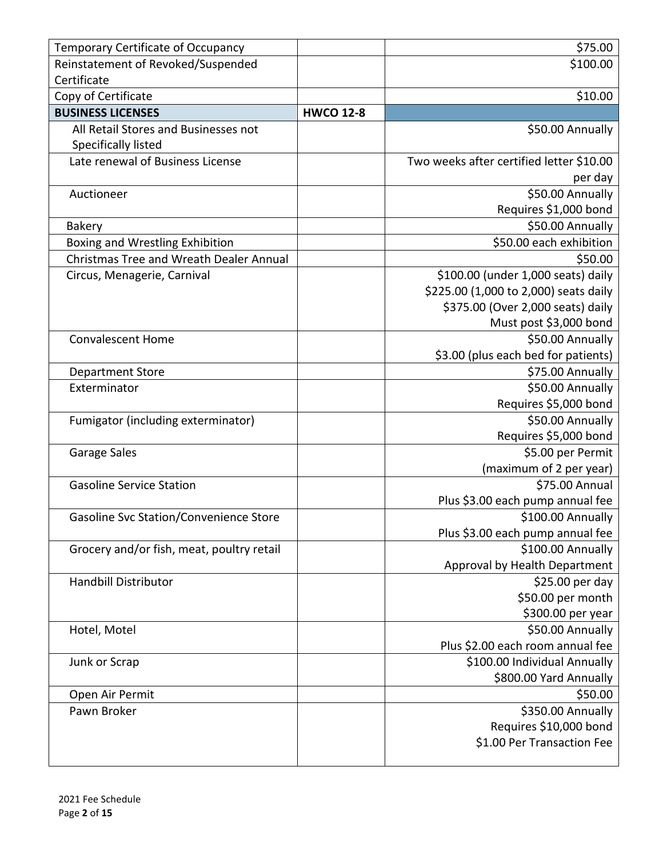| Temporary Certificate of Occupancy             |                  | \$75.00                                  |
|------------------------------------------------|------------------|------------------------------------------|
| Reinstatement of Revoked/Suspended             |                  | \$100.00                                 |
| Certificate                                    |                  |                                          |
| Copy of Certificate                            |                  | \$10.00                                  |
| <b>BUSINESS LICENSES</b>                       | <b>HWCO 12-8</b> |                                          |
| All Retail Stores and Businesses not           |                  | \$50.00 Annually                         |
| Specifically listed                            |                  |                                          |
| Late renewal of Business License               |                  | Two weeks after certified letter \$10.00 |
|                                                |                  | per day                                  |
| Auctioneer                                     |                  | \$50.00 Annually                         |
|                                                |                  | Requires \$1,000 bond                    |
| <b>Bakery</b>                                  |                  | \$50.00 Annually                         |
| Boxing and Wrestling Exhibition                |                  | \$50.00 each exhibition                  |
| <b>Christmas Tree and Wreath Dealer Annual</b> |                  | \$50.00                                  |
| Circus, Menagerie, Carnival                    |                  | \$100.00 (under 1,000 seats) daily       |
|                                                |                  | \$225.00 (1,000 to 2,000) seats daily    |
|                                                |                  | \$375.00 (Over 2,000 seats) daily        |
|                                                |                  | Must post \$3,000 bond                   |
| <b>Convalescent Home</b>                       |                  | \$50.00 Annually                         |
|                                                |                  | \$3.00 (plus each bed for patients)      |
| <b>Department Store</b>                        |                  | \$75.00 Annually                         |
| Exterminator                                   |                  | \$50.00 Annually                         |
|                                                |                  | Requires \$5,000 bond                    |
| Fumigator (including exterminator)             |                  | \$50.00 Annually                         |
|                                                |                  | Requires \$5,000 bond                    |
| Garage Sales                                   |                  | \$5.00 per Permit                        |
|                                                |                  | (maximum of 2 per year)                  |
| <b>Gasoline Service Station</b>                |                  | \$75.00 Annual                           |
|                                                |                  | Plus \$3.00 each pump annual fee         |
| Gasoline Svc Station/Convenience Store         |                  | \$100.00 Annually                        |
|                                                |                  | Plus \$3.00 each pump annual fee         |
| Grocery and/or fish, meat, poultry retail      |                  | \$100.00 Annually                        |
|                                                |                  | Approval by Health Department            |
| <b>Handbill Distributor</b>                    |                  | \$25.00 per day                          |
|                                                |                  | \$50.00 per month                        |
|                                                |                  | \$300.00 per year                        |
| Hotel, Motel                                   |                  | \$50.00 Annually                         |
|                                                |                  | Plus \$2.00 each room annual fee         |
| Junk or Scrap                                  |                  | \$100.00 Individual Annually             |
|                                                |                  | \$800.00 Yard Annually                   |
| Open Air Permit                                |                  | \$50.00                                  |
| Pawn Broker                                    |                  | \$350.00 Annually                        |
|                                                |                  | Requires \$10,000 bond                   |
|                                                |                  | \$1.00 Per Transaction Fee               |
|                                                |                  |                                          |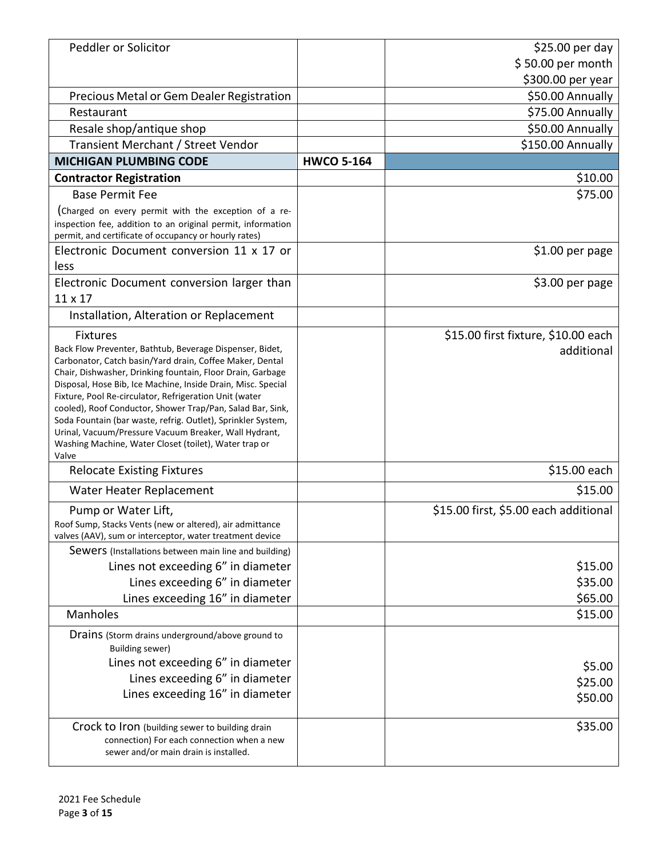| Peddler or Solicitor                                                                                                                                                                                                                                                                                                                                                                                                                                                                                                                                                  |                   | $$25.00$ per day                      |
|-----------------------------------------------------------------------------------------------------------------------------------------------------------------------------------------------------------------------------------------------------------------------------------------------------------------------------------------------------------------------------------------------------------------------------------------------------------------------------------------------------------------------------------------------------------------------|-------------------|---------------------------------------|
|                                                                                                                                                                                                                                                                                                                                                                                                                                                                                                                                                                       |                   | \$50.00 per month                     |
|                                                                                                                                                                                                                                                                                                                                                                                                                                                                                                                                                                       |                   | \$300.00 per year                     |
| Precious Metal or Gem Dealer Registration                                                                                                                                                                                                                                                                                                                                                                                                                                                                                                                             |                   | \$50.00 Annually                      |
| Restaurant                                                                                                                                                                                                                                                                                                                                                                                                                                                                                                                                                            |                   | \$75.00 Annually                      |
| Resale shop/antique shop                                                                                                                                                                                                                                                                                                                                                                                                                                                                                                                                              |                   | \$50.00 Annually                      |
| Transient Merchant / Street Vendor                                                                                                                                                                                                                                                                                                                                                                                                                                                                                                                                    |                   | \$150.00 Annually                     |
| <b>MICHIGAN PLUMBING CODE</b>                                                                                                                                                                                                                                                                                                                                                                                                                                                                                                                                         | <b>HWCO 5-164</b> |                                       |
| <b>Contractor Registration</b>                                                                                                                                                                                                                                                                                                                                                                                                                                                                                                                                        |                   | \$10.00                               |
| <b>Base Permit Fee</b>                                                                                                                                                                                                                                                                                                                                                                                                                                                                                                                                                |                   | \$75.00                               |
| (Charged on every permit with the exception of a re-<br>inspection fee, addition to an original permit, information<br>permit, and certificate of occupancy or hourly rates)                                                                                                                                                                                                                                                                                                                                                                                          |                   |                                       |
| Electronic Document conversion 11 x 17 or                                                                                                                                                                                                                                                                                                                                                                                                                                                                                                                             |                   | \$1.00 per page                       |
| less                                                                                                                                                                                                                                                                                                                                                                                                                                                                                                                                                                  |                   |                                       |
| Electronic Document conversion larger than                                                                                                                                                                                                                                                                                                                                                                                                                                                                                                                            |                   | \$3.00 per page                       |
| 11 x 17                                                                                                                                                                                                                                                                                                                                                                                                                                                                                                                                                               |                   |                                       |
| Installation, Alteration or Replacement                                                                                                                                                                                                                                                                                                                                                                                                                                                                                                                               |                   |                                       |
| <b>Fixtures</b>                                                                                                                                                                                                                                                                                                                                                                                                                                                                                                                                                       |                   | \$15.00 first fixture, \$10.00 each   |
| Back Flow Preventer, Bathtub, Beverage Dispenser, Bidet,<br>Carbonator, Catch basin/Yard drain, Coffee Maker, Dental<br>Chair, Dishwasher, Drinking fountain, Floor Drain, Garbage<br>Disposal, Hose Bib, Ice Machine, Inside Drain, Misc. Special<br>Fixture, Pool Re-circulator, Refrigeration Unit (water<br>cooled), Roof Conductor, Shower Trap/Pan, Salad Bar, Sink,<br>Soda Fountain (bar waste, refrig. Outlet), Sprinkler System,<br>Urinal, Vacuum/Pressure Vacuum Breaker, Wall Hydrant,<br>Washing Machine, Water Closet (toilet), Water trap or<br>Valve |                   | additional                            |
| <b>Relocate Existing Fixtures</b>                                                                                                                                                                                                                                                                                                                                                                                                                                                                                                                                     |                   | \$15.00 each                          |
| Water Heater Replacement                                                                                                                                                                                                                                                                                                                                                                                                                                                                                                                                              |                   | \$15.00                               |
| Pump or Water Lift,<br>Roof Sump, Stacks Vents (new or altered), air admittance<br>valves (AAV), sum or interceptor, water treatment device                                                                                                                                                                                                                                                                                                                                                                                                                           |                   | \$15.00 first, \$5.00 each additional |
| Sewers (Installations between main line and building)                                                                                                                                                                                                                                                                                                                                                                                                                                                                                                                 |                   |                                       |
| Lines not exceeding 6" in diameter                                                                                                                                                                                                                                                                                                                                                                                                                                                                                                                                    |                   | \$15.00                               |
| Lines exceeding 6" in diameter                                                                                                                                                                                                                                                                                                                                                                                                                                                                                                                                        |                   | \$35.00                               |
| Lines exceeding 16" in diameter                                                                                                                                                                                                                                                                                                                                                                                                                                                                                                                                       |                   | \$65.00                               |
| Manholes                                                                                                                                                                                                                                                                                                                                                                                                                                                                                                                                                              |                   | \$15.00                               |
| Drains (Storm drains underground/above ground to<br><b>Building sewer)</b><br>Lines not exceeding 6" in diameter                                                                                                                                                                                                                                                                                                                                                                                                                                                      |                   | \$5.00                                |
| Lines exceeding 6" in diameter                                                                                                                                                                                                                                                                                                                                                                                                                                                                                                                                        |                   | \$25.00                               |
| Lines exceeding 16" in diameter                                                                                                                                                                                                                                                                                                                                                                                                                                                                                                                                       |                   | \$50.00                               |
| Crock to Iron (building sewer to building drain<br>connection) For each connection when a new<br>sewer and/or main drain is installed.                                                                                                                                                                                                                                                                                                                                                                                                                                |                   | \$35.00                               |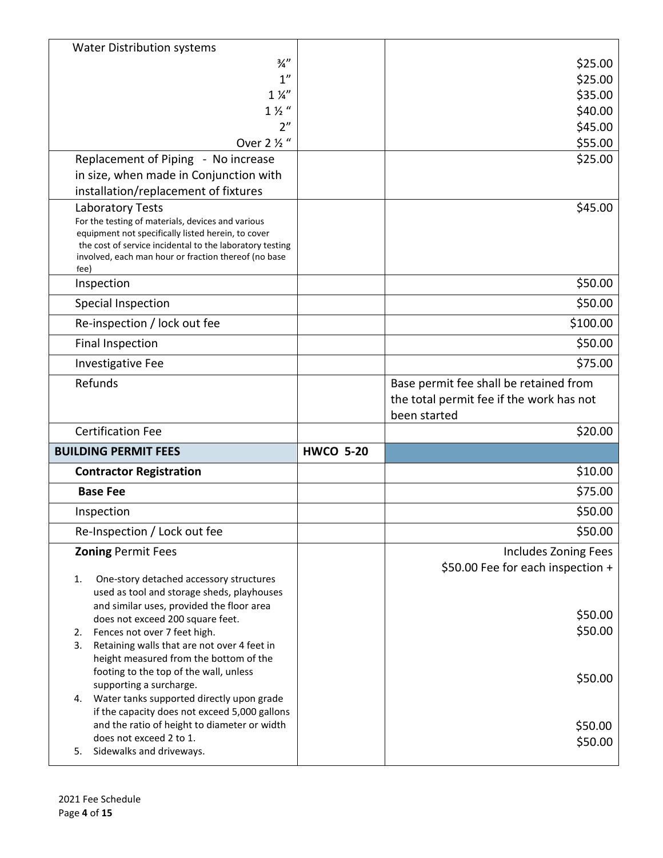| <b>Water Distribution systems</b>                                                                                |                  |                                          |
|------------------------------------------------------------------------------------------------------------------|------------------|------------------------------------------|
| $\frac{3}{4}$ "                                                                                                  |                  | \$25.00                                  |
| 1''                                                                                                              |                  | \$25.00                                  |
| $1\frac{1}{4}$                                                                                                   |                  | \$35.00                                  |
| $1\frac{1}{2}$                                                                                                   |                  | \$40.00                                  |
| 2 <sup>n</sup>                                                                                                   |                  | \$45.00                                  |
| Over 2 1/2 "                                                                                                     |                  | \$55.00                                  |
| Replacement of Piping - No increase                                                                              |                  | \$25.00                                  |
| in size, when made in Conjunction with<br>installation/replacement of fixtures                                   |                  |                                          |
| Laboratory Tests                                                                                                 |                  | \$45.00                                  |
| For the testing of materials, devices and various                                                                |                  |                                          |
| equipment not specifically listed herein, to cover                                                               |                  |                                          |
| the cost of service incidental to the laboratory testing<br>involved, each man hour or fraction thereof (no base |                  |                                          |
| fee)                                                                                                             |                  |                                          |
| Inspection                                                                                                       |                  | \$50.00                                  |
| <b>Special Inspection</b>                                                                                        |                  | \$50.00                                  |
| Re-inspection / lock out fee                                                                                     |                  | \$100.00                                 |
| <b>Final Inspection</b>                                                                                          |                  | \$50.00                                  |
| <b>Investigative Fee</b>                                                                                         |                  | \$75.00                                  |
| Refunds                                                                                                          |                  | Base permit fee shall be retained from   |
|                                                                                                                  |                  | the total permit fee if the work has not |
|                                                                                                                  |                  |                                          |
|                                                                                                                  |                  | been started                             |
| <b>Certification Fee</b>                                                                                         |                  | \$20.00                                  |
| <b>BUILDING PERMIT FEES</b>                                                                                      | <b>HWCO 5-20</b> |                                          |
| <b>Contractor Registration</b>                                                                                   |                  | \$10.00                                  |
| <b>Base Fee</b>                                                                                                  |                  | \$75.00                                  |
| Inspection                                                                                                       |                  | \$50.00                                  |
| Re-Inspection / Lock out fee                                                                                     |                  | \$50.00                                  |
| <b>Zoning Permit Fees</b>                                                                                        |                  | Includes Zoning Fees                     |
|                                                                                                                  |                  | \$50.00 Fee for each inspection +        |
| 1.<br>One-story detached accessory structures                                                                    |                  |                                          |
| used as tool and storage sheds, playhouses<br>and similar uses, provided the floor area                          |                  |                                          |
| does not exceed 200 square feet.                                                                                 |                  | \$50.00                                  |
| Fences not over 7 feet high.<br>2.                                                                               |                  | \$50.00                                  |
| Retaining walls that are not over 4 feet in<br>3.                                                                |                  |                                          |
| height measured from the bottom of the<br>footing to the top of the wall, unless                                 |                  |                                          |
| supporting a surcharge.                                                                                          |                  | \$50.00                                  |
| Water tanks supported directly upon grade<br>4.                                                                  |                  |                                          |
| if the capacity does not exceed 5,000 gallons                                                                    |                  |                                          |
| and the ratio of height to diameter or width<br>does not exceed 2 to 1.                                          |                  | \$50.00<br>\$50.00                       |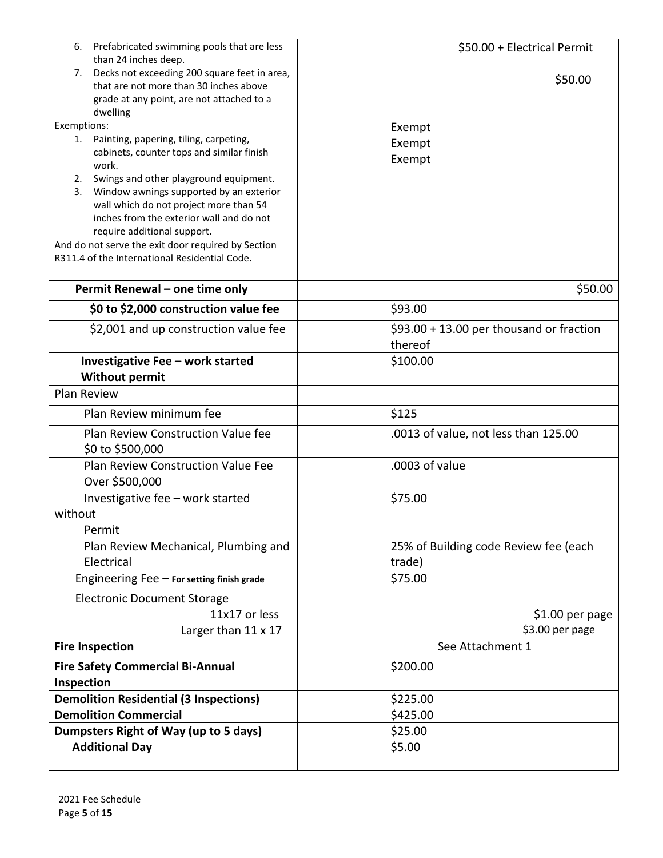| Prefabricated swimming pools that are less<br>6.                                        | \$50.00 + Electrical Permit                          |
|-----------------------------------------------------------------------------------------|------------------------------------------------------|
| than 24 inches deep.                                                                    |                                                      |
| Decks not exceeding 200 square feet in area,<br>7.                                      | \$50.00                                              |
| that are not more than 30 inches above<br>grade at any point, are not attached to a     |                                                      |
| dwelling                                                                                |                                                      |
| Exemptions:                                                                             | Exempt                                               |
| Painting, papering, tiling, carpeting,<br>1.                                            | Exempt                                               |
| cabinets, counter tops and similar finish                                               | Exempt                                               |
| work.                                                                                   |                                                      |
| Swings and other playground equipment.<br>2.                                            |                                                      |
| Window awnings supported by an exterior<br>3.<br>wall which do not project more than 54 |                                                      |
| inches from the exterior wall and do not                                                |                                                      |
| require additional support.                                                             |                                                      |
| And do not serve the exit door required by Section                                      |                                                      |
| R311.4 of the International Residential Code.                                           |                                                      |
| Permit Renewal - one time only                                                          | \$50.00                                              |
| \$0 to \$2,000 construction value fee                                                   | \$93.00                                              |
|                                                                                         |                                                      |
| \$2,001 and up construction value fee                                                   | $$93.00 + 13.00$ per thousand or fraction<br>thereof |
| Investigative Fee - work started                                                        | \$100.00                                             |
| <b>Without permit</b>                                                                   |                                                      |
| Plan Review                                                                             |                                                      |
| Plan Review minimum fee                                                                 | \$125                                                |
|                                                                                         |                                                      |
| Plan Review Construction Value fee                                                      | .0013 of value, not less than 125.00                 |
| \$0 to \$500,000                                                                        |                                                      |
| <b>Plan Review Construction Value Fee</b>                                               | .0003 of value                                       |
| Over \$500,000                                                                          |                                                      |
| Investigative fee - work started                                                        | \$75.00                                              |
| without                                                                                 |                                                      |
| Permit                                                                                  |                                                      |
| Plan Review Mechanical, Plumbing and                                                    | 25% of Building code Review fee (each                |
| Electrical                                                                              | trade)                                               |
| Engineering $Fee$ – For setting finish grade                                            | \$75.00                                              |
| <b>Electronic Document Storage</b>                                                      |                                                      |
| 11x17 or less                                                                           | $$1.00$ per page                                     |
| Larger than 11 x 17                                                                     | \$3.00 per page                                      |
| <b>Fire Inspection</b>                                                                  | See Attachment 1                                     |
| <b>Fire Safety Commercial Bi-Annual</b>                                                 | \$200.00                                             |
| Inspection                                                                              |                                                      |
| <b>Demolition Residential (3 Inspections)</b>                                           | \$225.00                                             |
| <b>Demolition Commercial</b>                                                            | \$425.00                                             |
| Dumpsters Right of Way (up to 5 days)                                                   | \$25.00                                              |
| <b>Additional Day</b>                                                                   | \$5.00                                               |
|                                                                                         |                                                      |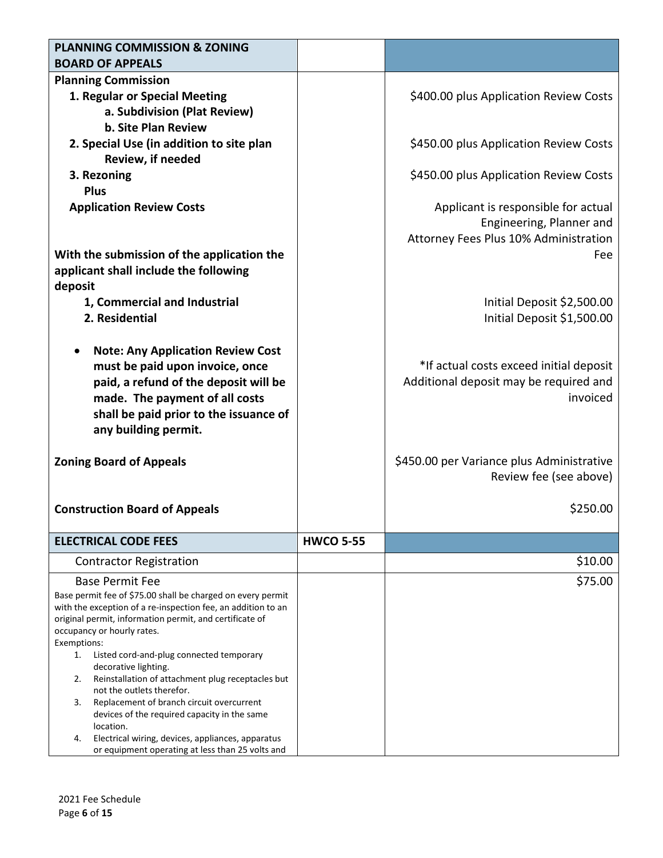| <b>PLANNING COMMISSION &amp; ZONING</b><br><b>BOARD OF APPEALS</b>                                                      |                  |                                           |
|-------------------------------------------------------------------------------------------------------------------------|------------------|-------------------------------------------|
| <b>Planning Commission</b>                                                                                              |                  |                                           |
| 1. Regular or Special Meeting                                                                                           |                  | \$400.00 plus Application Review Costs    |
| a. Subdivision (Plat Review)                                                                                            |                  |                                           |
| <b>b. Site Plan Review</b>                                                                                              |                  |                                           |
| 2. Special Use (in addition to site plan                                                                                |                  | \$450.00 plus Application Review Costs    |
| <b>Review, if needed</b>                                                                                                |                  |                                           |
| 3. Rezoning                                                                                                             |                  | \$450.00 plus Application Review Costs    |
| <b>Plus</b>                                                                                                             |                  |                                           |
| <b>Application Review Costs</b>                                                                                         |                  | Applicant is responsible for actual       |
|                                                                                                                         |                  | Engineering, Planner and                  |
|                                                                                                                         |                  | Attorney Fees Plus 10% Administration     |
| With the submission of the application the                                                                              |                  | Fee                                       |
| applicant shall include the following                                                                                   |                  |                                           |
| deposit                                                                                                                 |                  |                                           |
| 1, Commercial and Industrial                                                                                            |                  | Initial Deposit \$2,500.00                |
| 2. Residential                                                                                                          |                  | Initial Deposit \$1,500.00                |
|                                                                                                                         |                  |                                           |
| <b>Note: Any Application Review Cost</b>                                                                                |                  |                                           |
| must be paid upon invoice, once                                                                                         |                  | *If actual costs exceed initial deposit   |
| paid, a refund of the deposit will be                                                                                   |                  | Additional deposit may be required and    |
| made. The payment of all costs                                                                                          |                  | invoiced                                  |
| shall be paid prior to the issuance of                                                                                  |                  |                                           |
| any building permit.                                                                                                    |                  |                                           |
|                                                                                                                         |                  |                                           |
| <b>Zoning Board of Appeals</b>                                                                                          |                  | \$450.00 per Variance plus Administrative |
|                                                                                                                         |                  | Review fee (see above)                    |
|                                                                                                                         |                  |                                           |
| <b>Construction Board of Appeals</b>                                                                                    |                  | \$250.00                                  |
|                                                                                                                         |                  |                                           |
| <b>ELECTRICAL CODE FEES</b>                                                                                             | <b>HWCO 5-55</b> |                                           |
| <b>Contractor Registration</b>                                                                                          |                  | \$10.00                                   |
| <b>Base Permit Fee</b>                                                                                                  |                  | \$75.00                                   |
| Base permit fee of \$75.00 shall be charged on every permit                                                             |                  |                                           |
| with the exception of a re-inspection fee, an addition to an<br>original permit, information permit, and certificate of |                  |                                           |
| occupancy or hourly rates.                                                                                              |                  |                                           |
| Exemptions:                                                                                                             |                  |                                           |
| Listed cord-and-plug connected temporary<br>1.<br>decorative lighting.                                                  |                  |                                           |
| Reinstallation of attachment plug receptacles but<br>2.                                                                 |                  |                                           |
| not the outlets therefor.                                                                                               |                  |                                           |
| Replacement of branch circuit overcurrent<br>3.<br>devices of the required capacity in the same                         |                  |                                           |
| location.                                                                                                               |                  |                                           |
| Electrical wiring, devices, appliances, apparatus<br>4.<br>or equipment operating at less than 25 volts and             |                  |                                           |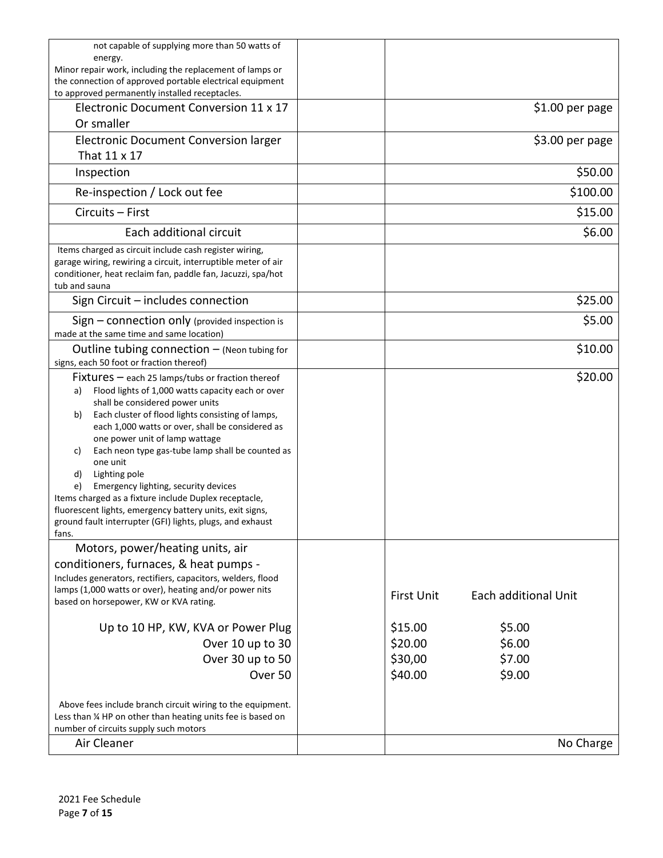| not capable of supplying more than 50 watts of                                                                               |                   |                      |
|------------------------------------------------------------------------------------------------------------------------------|-------------------|----------------------|
| energy.<br>Minor repair work, including the replacement of lamps or                                                          |                   |                      |
| the connection of approved portable electrical equipment                                                                     |                   |                      |
| to approved permanently installed receptacles.                                                                               |                   |                      |
| Electronic Document Conversion 11 x 17                                                                                       |                   | $$1.00$ per page     |
| Or smaller                                                                                                                   |                   |                      |
| Electronic Document Conversion larger                                                                                        |                   | \$3.00 per page      |
| That 11 x 17                                                                                                                 |                   |                      |
| Inspection                                                                                                                   |                   | \$50.00              |
| Re-inspection / Lock out fee                                                                                                 |                   | \$100.00             |
| Circuits - First                                                                                                             |                   | \$15.00              |
| Each additional circuit                                                                                                      |                   | \$6.00               |
| Items charged as circuit include cash register wiring,                                                                       |                   |                      |
| garage wiring, rewiring a circuit, interruptible meter of air<br>conditioner, heat reclaim fan, paddle fan, Jacuzzi, spa/hot |                   |                      |
| tub and sauna                                                                                                                |                   |                      |
| Sign Circuit - includes connection                                                                                           |                   | \$25.00              |
| $Sign$ – connection only (provided inspection is                                                                             |                   | \$5.00               |
| made at the same time and same location)                                                                                     |                   |                      |
| Outline tubing connection $-$ (Neon tubing for<br>signs, each 50 foot or fraction thereof)                                   |                   | \$10.00              |
| $Fixtures - each 25$ lamps/tubs or fraction thereof                                                                          |                   | \$20.00              |
| Flood lights of 1,000 watts capacity each or over<br>a)                                                                      |                   |                      |
| shall be considered power units                                                                                              |                   |                      |
| Each cluster of flood lights consisting of lamps,<br>b)<br>each 1,000 watts or over, shall be considered as                  |                   |                      |
| one power unit of lamp wattage                                                                                               |                   |                      |
| Each neon type gas-tube lamp shall be counted as<br>C)                                                                       |                   |                      |
| one unit                                                                                                                     |                   |                      |
| Lighting pole<br>d)<br>Emergency lighting, security devices<br>e)                                                            |                   |                      |
| Items charged as a fixture include Duplex receptacle,                                                                        |                   |                      |
| fluorescent lights, emergency battery units, exit signs,                                                                     |                   |                      |
| ground fault interrupter (GFI) lights, plugs, and exhaust                                                                    |                   |                      |
| fans.                                                                                                                        |                   |                      |
| Motors, power/heating units, air                                                                                             |                   |                      |
| conditioners, furnaces, & heat pumps -<br>Includes generators, rectifiers, capacitors, welders, flood                        |                   |                      |
| lamps (1,000 watts or over), heating and/or power nits                                                                       |                   |                      |
| based on horsepower, KW or KVA rating.                                                                                       | <b>First Unit</b> | Each additional Unit |
| Up to 10 HP, KW, KVA or Power Plug                                                                                           | \$15.00           | \$5.00               |
| Over 10 up to 30                                                                                                             | \$20.00           | \$6.00               |
| Over 30 up to 50                                                                                                             | \$30,00           | \$7.00               |
| Over 50                                                                                                                      | \$40.00           | \$9.00               |
|                                                                                                                              |                   |                      |
| Above fees include branch circuit wiring to the equipment.                                                                   |                   |                      |
| Less than % HP on other than heating units fee is based on                                                                   |                   |                      |
| number of circuits supply such motors                                                                                        |                   |                      |
| Air Cleaner                                                                                                                  |                   | No Charge            |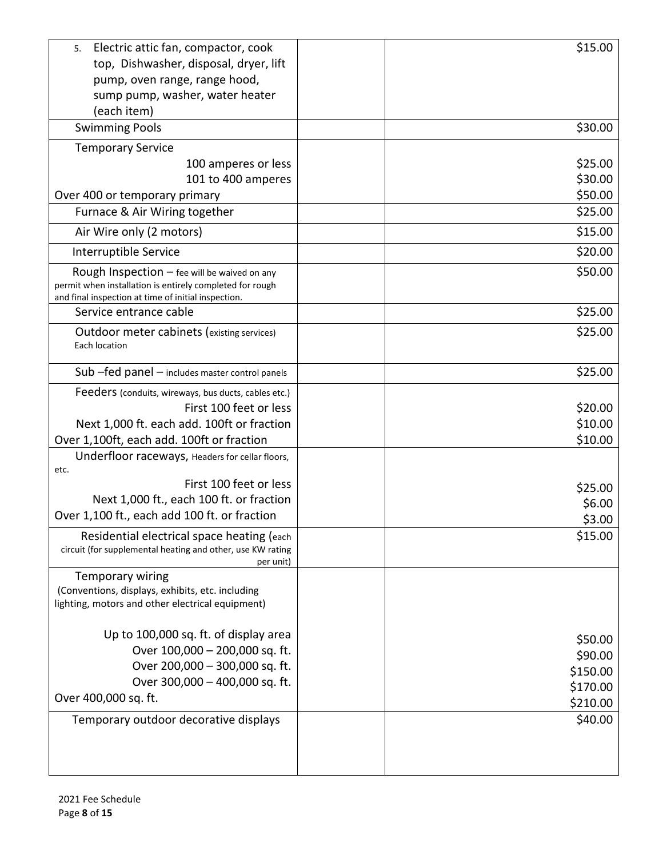| Electric attic fan, compactor, cook<br>5.<br>top, Dishwasher, disposal, dryer, lift<br>pump, oven range, range hood,<br>sump pump, washer, water heater<br>(each item) | \$15.00            |
|------------------------------------------------------------------------------------------------------------------------------------------------------------------------|--------------------|
| <b>Swimming Pools</b>                                                                                                                                                  | \$30.00            |
| <b>Temporary Service</b>                                                                                                                                               |                    |
| 100 amperes or less                                                                                                                                                    | \$25.00            |
| 101 to 400 amperes                                                                                                                                                     | \$30.00            |
| Over 400 or temporary primary                                                                                                                                          | \$50.00            |
| Furnace & Air Wiring together                                                                                                                                          | \$25.00            |
| Air Wire only (2 motors)                                                                                                                                               | \$15.00            |
| Interruptible Service                                                                                                                                                  | \$20.00            |
| Rough Inspection $-$ fee will be waived on any<br>permit when installation is entirely completed for rough<br>and final inspection at time of initial inspection.      | \$50.00            |
| Service entrance cable                                                                                                                                                 | \$25.00            |
| Outdoor meter cabinets (existing services)<br>Each location                                                                                                            | \$25.00            |
| Sub -fed panel - includes master control panels                                                                                                                        | \$25.00            |
| Feeders (conduits, wireways, bus ducts, cables etc.)                                                                                                                   |                    |
| First 100 feet or less                                                                                                                                                 | \$20.00            |
| Next 1,000 ft. each add. 100ft or fraction                                                                                                                             | \$10.00            |
| Over 1,100ft, each add. 100ft or fraction                                                                                                                              | \$10.00            |
| Underfloor raceways, Headers for cellar floors,<br>etc.                                                                                                                |                    |
| First 100 feet or less                                                                                                                                                 | \$25.00            |
| Next 1,000 ft., each 100 ft. or fraction                                                                                                                               | \$6.00             |
| Over 1,100 ft., each add 100 ft. or fraction                                                                                                                           | \$3.00             |
| Residential electrical space heating (each<br>circuit (for supplemental heating and other, use KW rating<br>per unit)                                                  | \$15.00            |
| <b>Temporary wiring</b><br>(Conventions, displays, exhibits, etc. including<br>lighting, motors and other electrical equipment)                                        |                    |
| Up to 100,000 sq. ft. of display area                                                                                                                                  |                    |
| Over 100,000 - 200,000 sq. ft.                                                                                                                                         | \$50.00<br>\$90.00 |
| Over 200,000 - 300,000 sq. ft.                                                                                                                                         | \$150.00           |
| Over 300,000 - 400,000 sq. ft.                                                                                                                                         | \$170.00           |
| Over 400,000 sq. ft.                                                                                                                                                   | \$210.00           |
| Temporary outdoor decorative displays                                                                                                                                  | \$40.00            |
|                                                                                                                                                                        |                    |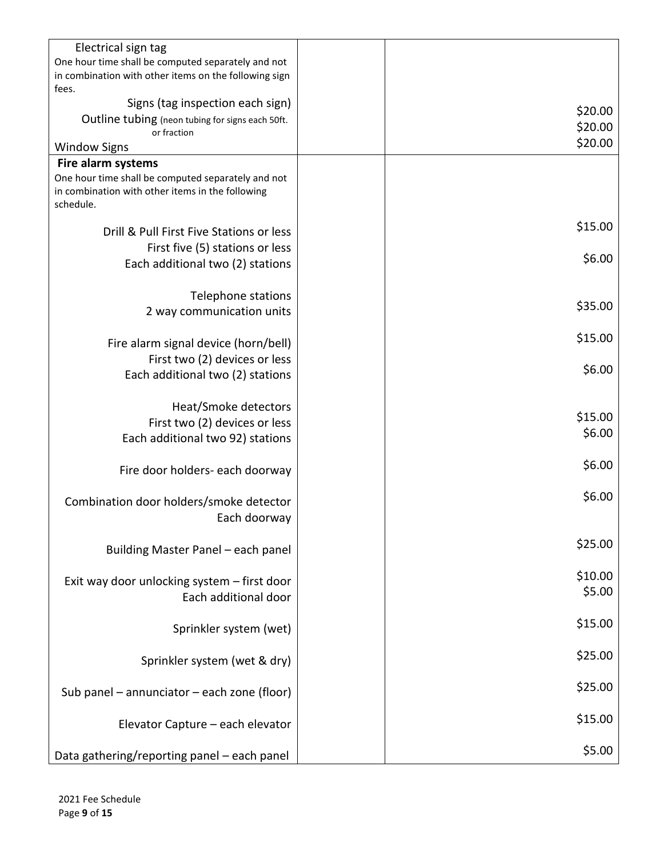| Electrical sign tag                                   |         |
|-------------------------------------------------------|---------|
| One hour time shall be computed separately and not    |         |
| in combination with other items on the following sign |         |
| fees.                                                 |         |
| Signs (tag inspection each sign)                      | \$20.00 |
| Outline tubing (neon tubing for signs each 50ft.      | \$20.00 |
| or fraction                                           | \$20.00 |
| <b>Window Signs</b>                                   |         |
| Fire alarm systems                                    |         |
| One hour time shall be computed separately and not    |         |
| in combination with other items in the following      |         |
| schedule.                                             |         |
| Drill & Pull First Five Stations or less              | \$15.00 |
|                                                       |         |
| First five (5) stations or less                       | \$6.00  |
| Each additional two (2) stations                      |         |
|                                                       |         |
| Telephone stations                                    | \$35.00 |
| 2 way communication units                             |         |
|                                                       |         |
| Fire alarm signal device (horn/bell)                  | \$15.00 |
| First two (2) devices or less                         |         |
| Each additional two (2) stations                      | \$6.00  |
|                                                       |         |
| Heat/Smoke detectors                                  |         |
| First two (2) devices or less                         | \$15.00 |
| Each additional two 92) stations                      | \$6.00  |
|                                                       |         |
| Fire door holders- each doorway                       | \$6.00  |
|                                                       |         |
| Combination door holders/smoke detector               | \$6.00  |
| Each doorway                                          |         |
|                                                       |         |
|                                                       | \$25.00 |
| Building Master Panel - each panel                    |         |
|                                                       | \$10.00 |
| Exit way door unlocking system - first door           | \$5.00  |
| Each additional door                                  |         |
|                                                       | \$15.00 |
| Sprinkler system (wet)                                |         |
|                                                       |         |
| Sprinkler system (wet & dry)                          | \$25.00 |
|                                                       |         |
| Sub panel $-$ annunciator $-$ each zone (floor)       | \$25.00 |
|                                                       |         |
| Elevator Capture - each elevator                      | \$15.00 |
|                                                       |         |
| Data gathering/reporting panel - each panel           | \$5.00  |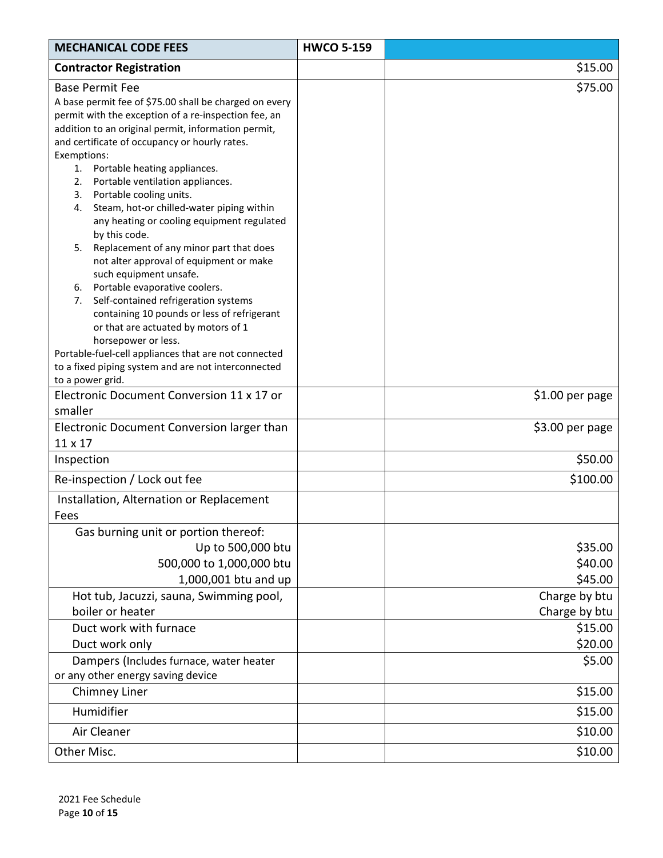| <b>MECHANICAL CODE FEES</b>                                                                                                                                                                                                                                                                                                                                                                                                                                                                                                                                                                                                                                                                                                                                                                                                | <b>HWCO 5-159</b> |                                |
|----------------------------------------------------------------------------------------------------------------------------------------------------------------------------------------------------------------------------------------------------------------------------------------------------------------------------------------------------------------------------------------------------------------------------------------------------------------------------------------------------------------------------------------------------------------------------------------------------------------------------------------------------------------------------------------------------------------------------------------------------------------------------------------------------------------------------|-------------------|--------------------------------|
| <b>Contractor Registration</b>                                                                                                                                                                                                                                                                                                                                                                                                                                                                                                                                                                                                                                                                                                                                                                                             |                   | \$15.00                        |
| <b>Base Permit Fee</b><br>A base permit fee of \$75.00 shall be charged on every<br>permit with the exception of a re-inspection fee, an<br>addition to an original permit, information permit,<br>and certificate of occupancy or hourly rates.<br>Exemptions:<br>1.<br>Portable heating appliances.<br>Portable ventilation appliances.<br>2.<br>Portable cooling units.<br>3.<br>Steam, hot-or chilled-water piping within<br>4.<br>any heating or cooling equipment regulated<br>by this code.<br>Replacement of any minor part that does<br>5.<br>not alter approval of equipment or make<br>such equipment unsafe.<br>Portable evaporative coolers.<br>6.<br>Self-contained refrigeration systems<br>7.<br>containing 10 pounds or less of refrigerant<br>or that are actuated by motors of 1<br>horsepower or less. |                   | \$75.00                        |
| Portable-fuel-cell appliances that are not connected<br>to a fixed piping system and are not interconnected                                                                                                                                                                                                                                                                                                                                                                                                                                                                                                                                                                                                                                                                                                                |                   |                                |
| to a power grid.                                                                                                                                                                                                                                                                                                                                                                                                                                                                                                                                                                                                                                                                                                                                                                                                           |                   |                                |
| Electronic Document Conversion 11 x 17 or<br>smaller                                                                                                                                                                                                                                                                                                                                                                                                                                                                                                                                                                                                                                                                                                                                                                       |                   | \$1.00 per page                |
| Electronic Document Conversion larger than<br>11 x 17                                                                                                                                                                                                                                                                                                                                                                                                                                                                                                                                                                                                                                                                                                                                                                      |                   | \$3.00 per page                |
| Inspection                                                                                                                                                                                                                                                                                                                                                                                                                                                                                                                                                                                                                                                                                                                                                                                                                 |                   | \$50.00                        |
| Re-inspection / Lock out fee                                                                                                                                                                                                                                                                                                                                                                                                                                                                                                                                                                                                                                                                                                                                                                                               |                   | \$100.00                       |
| Installation, Alternation or Replacement<br>Fees                                                                                                                                                                                                                                                                                                                                                                                                                                                                                                                                                                                                                                                                                                                                                                           |                   |                                |
| Gas burning unit or portion thereof:<br>Up to 500,000 btu<br>500,000 to 1,000,000 btu<br>1,000,001 btu and up                                                                                                                                                                                                                                                                                                                                                                                                                                                                                                                                                                                                                                                                                                              |                   | \$35.00<br>\$40.00<br>\$45.00  |
| Hot tub, Jacuzzi, sauna, Swimming pool,<br>boiler or heater                                                                                                                                                                                                                                                                                                                                                                                                                                                                                                                                                                                                                                                                                                                                                                |                   | Charge by btu<br>Charge by btu |
| Duct work with furnace                                                                                                                                                                                                                                                                                                                                                                                                                                                                                                                                                                                                                                                                                                                                                                                                     |                   | \$15.00                        |
| Duct work only                                                                                                                                                                                                                                                                                                                                                                                                                                                                                                                                                                                                                                                                                                                                                                                                             |                   | \$20.00                        |
| Dampers (Includes furnace, water heater<br>or any other energy saving device                                                                                                                                                                                                                                                                                                                                                                                                                                                                                                                                                                                                                                                                                                                                               |                   | \$5.00                         |
| Chimney Liner                                                                                                                                                                                                                                                                                                                                                                                                                                                                                                                                                                                                                                                                                                                                                                                                              |                   | \$15.00                        |
| Humidifier                                                                                                                                                                                                                                                                                                                                                                                                                                                                                                                                                                                                                                                                                                                                                                                                                 |                   | \$15.00                        |
| Air Cleaner                                                                                                                                                                                                                                                                                                                                                                                                                                                                                                                                                                                                                                                                                                                                                                                                                |                   | \$10.00                        |
| Other Misc.                                                                                                                                                                                                                                                                                                                                                                                                                                                                                                                                                                                                                                                                                                                                                                                                                |                   | \$10.00                        |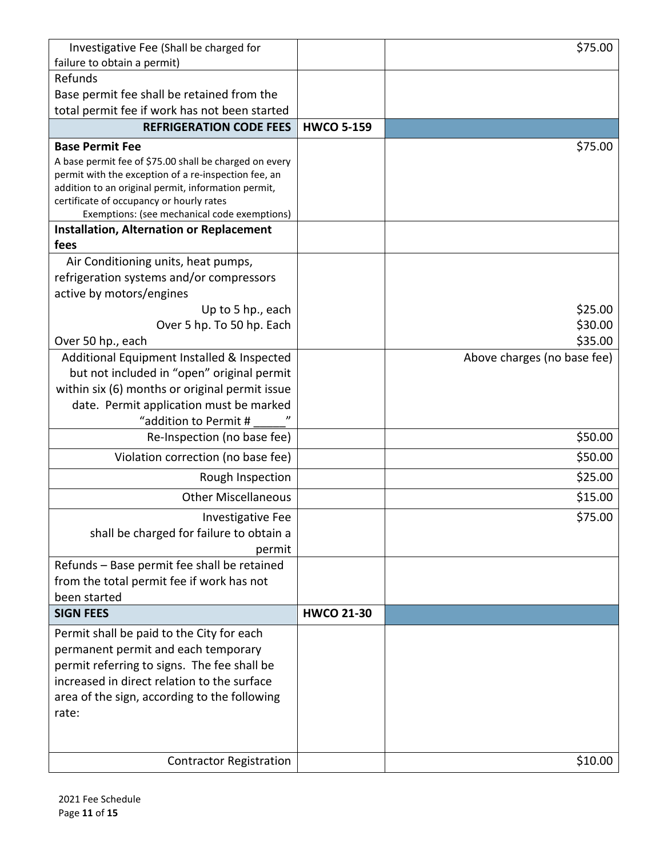| Investigative Fee (Shall be charged for                                                  |                   | \$75.00                     |
|------------------------------------------------------------------------------------------|-------------------|-----------------------------|
| failure to obtain a permit)                                                              |                   |                             |
| Refunds                                                                                  |                   |                             |
| Base permit fee shall be retained from the                                               |                   |                             |
| total permit fee if work has not been started                                            |                   |                             |
| <b>REFRIGERATION CODE FEES</b>                                                           | <b>HWCO 5-159</b> |                             |
| <b>Base Permit Fee</b>                                                                   |                   | \$75.00                     |
| A base permit fee of \$75.00 shall be charged on every                                   |                   |                             |
| permit with the exception of a re-inspection fee, an                                     |                   |                             |
| addition to an original permit, information permit,                                      |                   |                             |
| certificate of occupancy or hourly rates<br>Exemptions: (see mechanical code exemptions) |                   |                             |
| <b>Installation, Alternation or Replacement</b>                                          |                   |                             |
| fees                                                                                     |                   |                             |
| Air Conditioning units, heat pumps,                                                      |                   |                             |
| refrigeration systems and/or compressors                                                 |                   |                             |
| active by motors/engines                                                                 |                   |                             |
| Up to 5 hp., each                                                                        |                   | \$25.00                     |
| Over 5 hp. To 50 hp. Each                                                                |                   | \$30.00                     |
| Over 50 hp., each                                                                        |                   | \$35.00                     |
| Additional Equipment Installed & Inspected                                               |                   | Above charges (no base fee) |
| but not included in "open" original permit                                               |                   |                             |
| within six (6) months or original permit issue                                           |                   |                             |
| date. Permit application must be marked                                                  |                   |                             |
| "addition to Permit #                                                                    |                   |                             |
| Re-Inspection (no base fee)                                                              |                   | \$50.00                     |
| Violation correction (no base fee)                                                       |                   | \$50.00                     |
| Rough Inspection                                                                         |                   | \$25.00                     |
| <b>Other Miscellaneous</b>                                                               |                   | \$15.00                     |
| <b>Investigative Fee</b>                                                                 |                   | \$75.00                     |
| shall be charged for failure to obtain a                                                 |                   |                             |
| permit                                                                                   |                   |                             |
| Refunds - Base permit fee shall be retained                                              |                   |                             |
| from the total permit fee if work has not                                                |                   |                             |
| been started                                                                             |                   |                             |
| <b>SIGN FEES</b>                                                                         | <b>HWCO 21-30</b> |                             |
| Permit shall be paid to the City for each                                                |                   |                             |
| permanent permit and each temporary                                                      |                   |                             |
| permit referring to signs. The fee shall be                                              |                   |                             |
| increased in direct relation to the surface                                              |                   |                             |
| area of the sign, according to the following                                             |                   |                             |
| rate:                                                                                    |                   |                             |
|                                                                                          |                   |                             |
| <b>Contractor Registration</b>                                                           |                   | \$10.00                     |
|                                                                                          |                   |                             |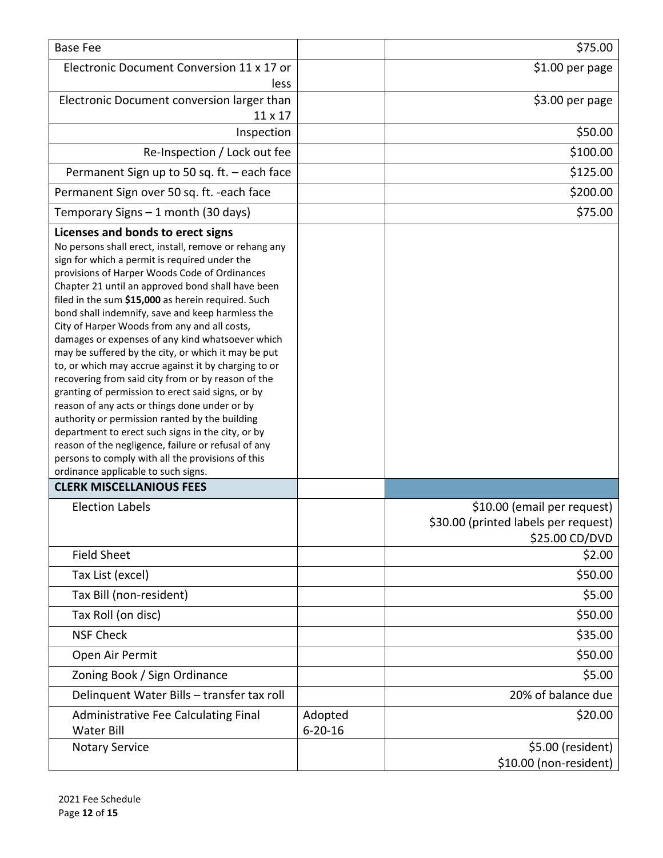| <b>Base Fee</b>                                                                                                                                                                                                                                                                                                                                                                                                                                                                                                                                                                                                                                                                                                                                                                                                                                                                                                                                                                                      |                          | \$75.00                                                                               |
|------------------------------------------------------------------------------------------------------------------------------------------------------------------------------------------------------------------------------------------------------------------------------------------------------------------------------------------------------------------------------------------------------------------------------------------------------------------------------------------------------------------------------------------------------------------------------------------------------------------------------------------------------------------------------------------------------------------------------------------------------------------------------------------------------------------------------------------------------------------------------------------------------------------------------------------------------------------------------------------------------|--------------------------|---------------------------------------------------------------------------------------|
| Electronic Document Conversion 11 x 17 or<br>less                                                                                                                                                                                                                                                                                                                                                                                                                                                                                                                                                                                                                                                                                                                                                                                                                                                                                                                                                    |                          | \$1.00 per page                                                                       |
| Electronic Document conversion larger than<br>11 x 17                                                                                                                                                                                                                                                                                                                                                                                                                                                                                                                                                                                                                                                                                                                                                                                                                                                                                                                                                |                          | $$3.00$ per page                                                                      |
| Inspection                                                                                                                                                                                                                                                                                                                                                                                                                                                                                                                                                                                                                                                                                                                                                                                                                                                                                                                                                                                           |                          | \$50.00                                                                               |
| Re-Inspection / Lock out fee                                                                                                                                                                                                                                                                                                                                                                                                                                                                                                                                                                                                                                                                                                                                                                                                                                                                                                                                                                         |                          | \$100.00                                                                              |
| Permanent Sign up to 50 sq. ft. - each face                                                                                                                                                                                                                                                                                                                                                                                                                                                                                                                                                                                                                                                                                                                                                                                                                                                                                                                                                          |                          | \$125.00                                                                              |
| Permanent Sign over 50 sq. ft. - each face                                                                                                                                                                                                                                                                                                                                                                                                                                                                                                                                                                                                                                                                                                                                                                                                                                                                                                                                                           |                          | \$200.00                                                                              |
| Temporary Signs - 1 month (30 days)                                                                                                                                                                                                                                                                                                                                                                                                                                                                                                                                                                                                                                                                                                                                                                                                                                                                                                                                                                  |                          | \$75.00                                                                               |
| Licenses and bonds to erect signs<br>No persons shall erect, install, remove or rehang any<br>sign for which a permit is required under the<br>provisions of Harper Woods Code of Ordinances<br>Chapter 21 until an approved bond shall have been<br>filed in the sum \$15,000 as herein required. Such<br>bond shall indemnify, save and keep harmless the<br>City of Harper Woods from any and all costs,<br>damages or expenses of any kind whatsoever which<br>may be suffered by the city, or which it may be put<br>to, or which may accrue against it by charging to or<br>recovering from said city from or by reason of the<br>granting of permission to erect said signs, or by<br>reason of any acts or things done under or by<br>authority or permission ranted by the building<br>department to erect such signs in the city, or by<br>reason of the negligence, failure or refusal of any<br>persons to comply with all the provisions of this<br>ordinance applicable to such signs. |                          |                                                                                       |
| <b>CLERK MISCELLANIOUS FEES</b>                                                                                                                                                                                                                                                                                                                                                                                                                                                                                                                                                                                                                                                                                                                                                                                                                                                                                                                                                                      |                          |                                                                                       |
| <b>Election Labels</b>                                                                                                                                                                                                                                                                                                                                                                                                                                                                                                                                                                                                                                                                                                                                                                                                                                                                                                                                                                               |                          | \$10.00 (email per request)<br>\$30.00 (printed labels per request)<br>\$25.00 CD/DVD |
| <b>Field Sheet</b>                                                                                                                                                                                                                                                                                                                                                                                                                                                                                                                                                                                                                                                                                                                                                                                                                                                                                                                                                                                   |                          | \$2.00                                                                                |
| Tax List (excel)                                                                                                                                                                                                                                                                                                                                                                                                                                                                                                                                                                                                                                                                                                                                                                                                                                                                                                                                                                                     |                          | \$50.00                                                                               |
| Tax Bill (non-resident)                                                                                                                                                                                                                                                                                                                                                                                                                                                                                                                                                                                                                                                                                                                                                                                                                                                                                                                                                                              |                          | \$5.00                                                                                |
| Tax Roll (on disc)                                                                                                                                                                                                                                                                                                                                                                                                                                                                                                                                                                                                                                                                                                                                                                                                                                                                                                                                                                                   |                          | \$50.00                                                                               |
| <b>NSF Check</b>                                                                                                                                                                                                                                                                                                                                                                                                                                                                                                                                                                                                                                                                                                                                                                                                                                                                                                                                                                                     |                          | \$35.00                                                                               |
| Open Air Permit                                                                                                                                                                                                                                                                                                                                                                                                                                                                                                                                                                                                                                                                                                                                                                                                                                                                                                                                                                                      |                          | \$50.00                                                                               |
| Zoning Book / Sign Ordinance                                                                                                                                                                                                                                                                                                                                                                                                                                                                                                                                                                                                                                                                                                                                                                                                                                                                                                                                                                         |                          | \$5.00                                                                                |
| Delinquent Water Bills - transfer tax roll                                                                                                                                                                                                                                                                                                                                                                                                                                                                                                                                                                                                                                                                                                                                                                                                                                                                                                                                                           |                          | 20% of balance due                                                                    |
| Administrative Fee Calculating Final<br><b>Water Bill</b>                                                                                                                                                                                                                                                                                                                                                                                                                                                                                                                                                                                                                                                                                                                                                                                                                                                                                                                                            | Adopted<br>$6 - 20 - 16$ | \$20.00                                                                               |
| <b>Notary Service</b>                                                                                                                                                                                                                                                                                                                                                                                                                                                                                                                                                                                                                                                                                                                                                                                                                                                                                                                                                                                |                          | \$5.00 (resident)<br>\$10.00 (non-resident)                                           |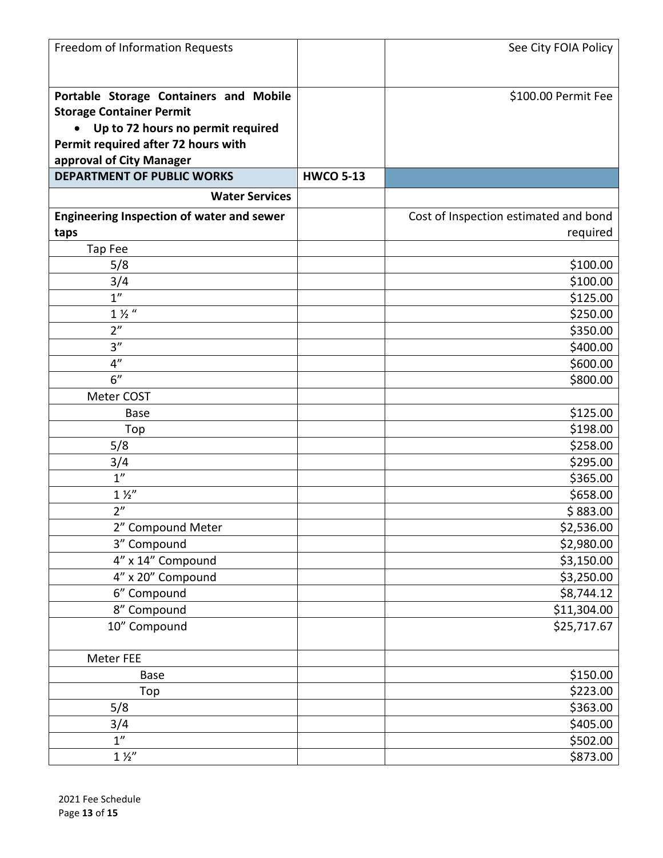| Freedom of Information Requests           |                  | See City FOIA Policy                  |
|-------------------------------------------|------------------|---------------------------------------|
|                                           |                  |                                       |
|                                           |                  |                                       |
| Portable Storage Containers and Mobile    |                  | \$100.00 Permit Fee                   |
| <b>Storage Container Permit</b>           |                  |                                       |
| • Up to 72 hours no permit required       |                  |                                       |
| Permit required after 72 hours with       |                  |                                       |
| approval of City Manager                  |                  |                                       |
| <b>DEPARTMENT OF PUBLIC WORKS</b>         | <b>HWCO 5-13</b> |                                       |
| <b>Water Services</b>                     |                  |                                       |
| Engineering Inspection of water and sewer |                  | Cost of Inspection estimated and bond |
| taps                                      |                  | required                              |
| Tap Fee                                   |                  |                                       |
| 5/8                                       |                  | \$100.00                              |
| 3/4                                       |                  | \$100.00                              |
| 1 <sup>''</sup>                           |                  | \$125.00                              |
| $1\frac{1}{2}$ "                          |                  | \$250.00                              |
| 2"                                        |                  | \$350.00                              |
| 3''                                       |                  | \$400.00                              |
| 4"                                        |                  | \$600.00                              |
| 6"                                        |                  | \$800.00                              |
| Meter COST                                |                  |                                       |
| <b>Base</b>                               |                  | \$125.00                              |
| Top                                       |                  | \$198.00                              |
| 5/8                                       |                  | \$258.00                              |
| 3/4                                       |                  | \$295.00                              |
| 1 <sup>''</sup>                           |                  | \$365.00                              |
| $1\frac{1}{2}$                            |                  | \$658.00                              |
| 2 <sup>n</sup>                            |                  | \$883.00                              |
| 2" Compound Meter                         |                  | \$2,536.00                            |
| 3" Compound                               |                  | \$2,980.00                            |
| 4" x 14" Compound                         |                  | \$3,150.00                            |
| 4" x 20" Compound                         |                  | \$3,250.00                            |
| 6" Compound                               |                  | \$8,744.12                            |
| 8" Compound                               |                  | \$11,304.00                           |
| 10" Compound                              |                  | \$25,717.67                           |
| Meter FEE                                 |                  |                                       |
| <b>Base</b>                               |                  | \$150.00                              |
| Top                                       |                  | \$223.00                              |
| 5/8                                       |                  | \$363.00                              |
| 3/4                                       |                  | \$405.00                              |
| 1 <sup>n</sup>                            |                  | \$502.00                              |
| $1\frac{1}{2}$                            |                  | \$873.00                              |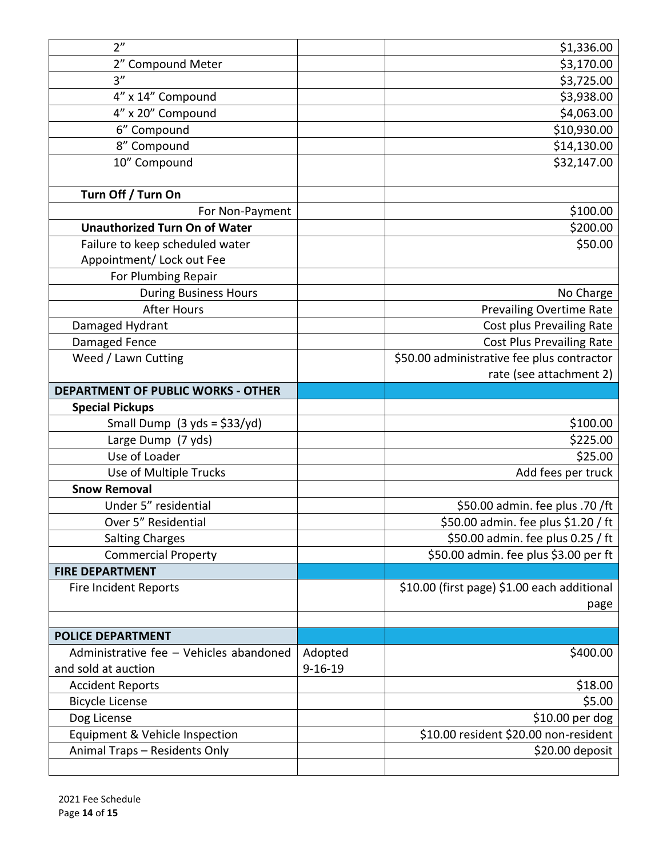| 2 <sup>n</sup>                            |               | \$1,336.00                                  |
|-------------------------------------------|---------------|---------------------------------------------|
| 2" Compound Meter                         |               | \$3,170.00                                  |
| 3''                                       |               | \$3,725.00                                  |
| 4" x 14" Compound                         |               | \$3,938.00                                  |
| 4" x 20" Compound                         |               | \$4,063.00                                  |
| 6" Compound                               |               | \$10,930.00                                 |
| 8" Compound                               |               | \$14,130.00                                 |
| 10" Compound                              |               | \$32,147.00                                 |
| Turn Off / Turn On                        |               |                                             |
| For Non-Payment                           |               | \$100.00                                    |
| <b>Unauthorized Turn On of Water</b>      |               | \$200.00                                    |
| Failure to keep scheduled water           |               | \$50.00                                     |
| Appointment/ Lock out Fee                 |               |                                             |
| For Plumbing Repair                       |               |                                             |
| During Business Hours                     |               | No Charge                                   |
| <b>After Hours</b>                        |               | <b>Prevailing Overtime Rate</b>             |
| Damaged Hydrant                           |               | Cost plus Prevailing Rate                   |
| Damaged Fence                             |               | <b>Cost Plus Prevailing Rate</b>            |
| Weed / Lawn Cutting                       |               | \$50.00 administrative fee plus contractor  |
|                                           |               | rate (see attachment 2)                     |
| <b>DEPARTMENT OF PUBLIC WORKS - OTHER</b> |               |                                             |
| <b>Special Pickups</b>                    |               |                                             |
| Small Dump $(3 yds = \frac{2}{3}33/yd)$   |               | \$100.00                                    |
| Large Dump (7 yds)                        |               | \$225.00                                    |
| Use of Loader                             |               | \$25.00                                     |
| Use of Multiple Trucks                    |               | Add fees per truck                          |
| <b>Snow Removal</b>                       |               |                                             |
| Under 5" residential                      |               | \$50.00 admin. fee plus .70 /ft             |
| Over 5" Residential                       |               | \$50.00 admin. fee plus \$1.20 / ft         |
| <b>Salting Charges</b>                    |               | \$50.00 admin. fee plus 0.25 / ft           |
| <b>Commercial Property</b>                |               | \$50.00 admin. fee plus \$3.00 per ft       |
| <b>FIRE DEPARTMENT</b>                    |               |                                             |
| <b>Fire Incident Reports</b>              |               | \$10.00 (first page) \$1.00 each additional |
|                                           |               | page                                        |
|                                           |               |                                             |
| <b>POLICE DEPARTMENT</b>                  |               |                                             |
| Administrative fee - Vehicles abandoned   | Adopted       | \$400.00                                    |
| and sold at auction                       | $9 - 16 - 19$ |                                             |
| <b>Accident Reports</b>                   |               | \$18.00                                     |
| <b>Bicycle License</b>                    |               | \$5.00                                      |
| Dog License                               |               | \$10.00 per dog                             |
| Equipment & Vehicle Inspection            |               | \$10.00 resident \$20.00 non-resident       |
| Animal Traps - Residents Only             |               | \$20.00 deposit                             |
|                                           |               |                                             |